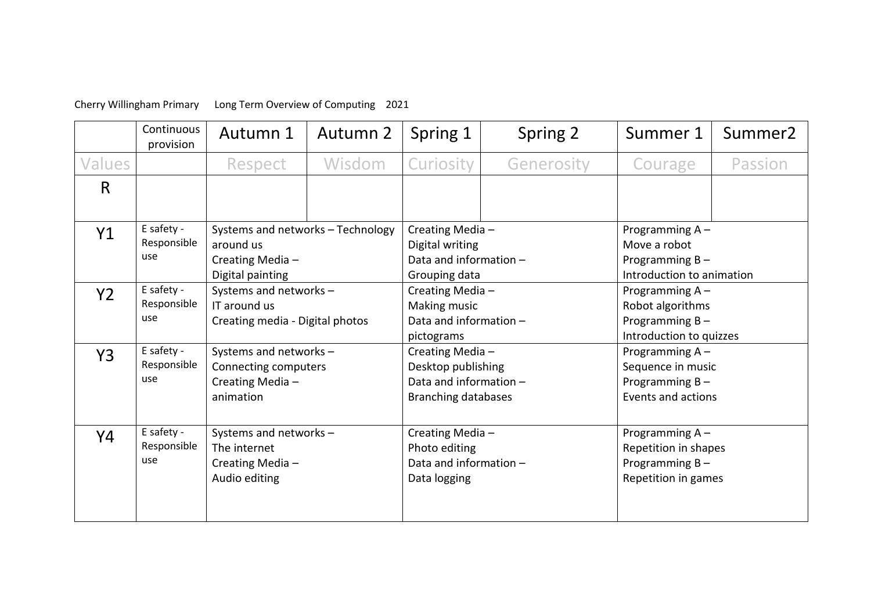## Cherry Willingham Primary Long Term Overview of Computing 2021

|                | Continuous<br>provision          | Autumn 1                                                                               | Autumn 2 | Spring 1                                                                                      | Spring 2   | Summer 1                                                                           | Summer <sub>2</sub> |
|----------------|----------------------------------|----------------------------------------------------------------------------------------|----------|-----------------------------------------------------------------------------------------------|------------|------------------------------------------------------------------------------------|---------------------|
| Values         |                                  | Respect                                                                                | Wisdom   | Curiosity                                                                                     | Generosity | Courage                                                                            | Passion             |
| R              |                                  |                                                                                        |          |                                                                                               |            |                                                                                    |                     |
| Y1             | E safety -<br>Responsible<br>use | Systems and networks - Technology<br>around us<br>Creating Media -<br>Digital painting |          | Creating Media-<br>Digital writing<br>Data and information -<br>Grouping data                 |            | Programming A-<br>Move a robot<br>Programming $B -$<br>Introduction to animation   |                     |
| Y <sub>2</sub> | E safety -<br>Responsible<br>use | Systems and networks -<br>IT around us<br>Creating media - Digital photos              |          | Creating Media -<br>Making music<br>Data and information -<br>pictograms                      |            | Programming A-<br>Robot algorithms<br>Programming $B -$<br>Introduction to quizzes |                     |
| Y3             | E safety -<br>Responsible<br>use | Systems and networks -<br>Connecting computers<br>Creating Media-<br>animation         |          | Creating Media-<br>Desktop publishing<br>Data and information -<br><b>Branching databases</b> |            | Programming A -<br>Sequence in music<br>Programming $B -$<br>Events and actions    |                     |
| Y4             | E safety -<br>Responsible<br>use | Systems and networks -<br>The internet<br>Creating Media -<br>Audio editing            |          | Creating Media-<br>Photo editing<br>Data and information -<br>Data logging                    |            | Programming A-<br>Repetition in shapes<br>Programming B-<br>Repetition in games    |                     |